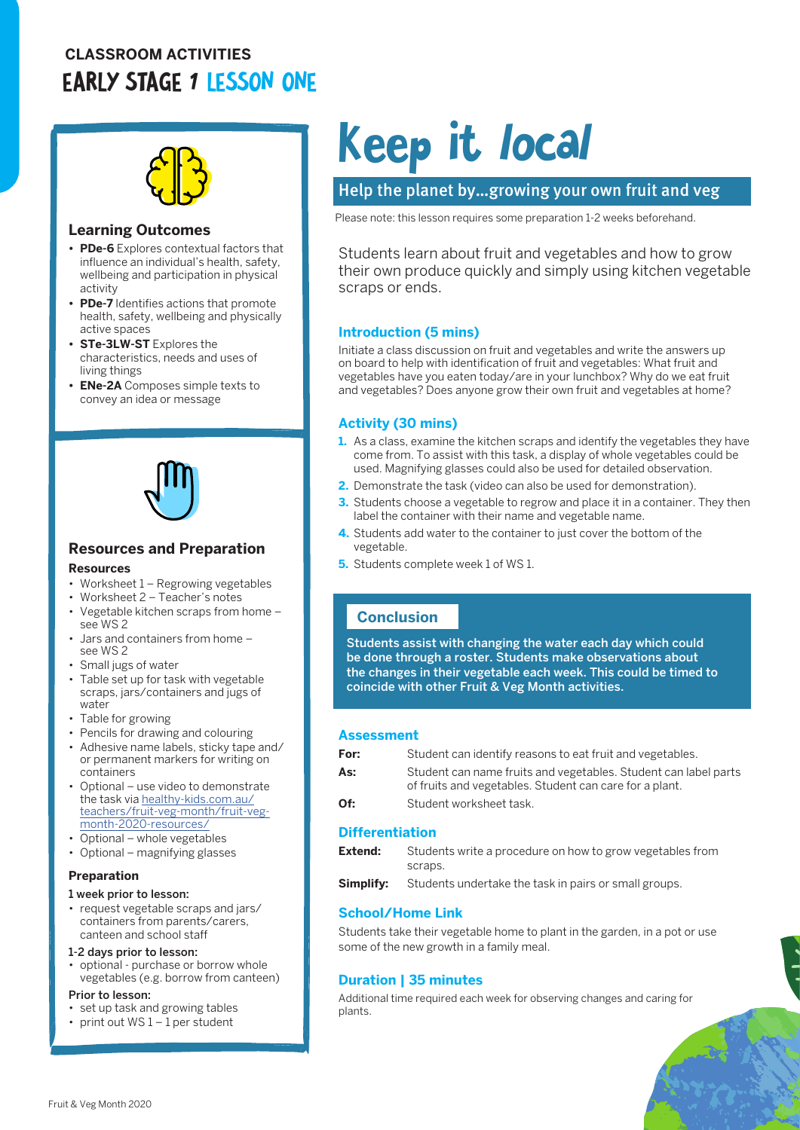# **CLASSROOM ACTIVITIES** EARLY STAGE 1 LESSON ONE



#### **Learning Outcomes**

- **• PDe-6** Explores contextual factors that influence an individual's health, safety, wellbeing and participation in physical activity
- **• PDe-7** Identifies actions that promote health, safety, wellbeing and physically active spaces
- **• STe-3LW-ST** Explores the characteristics, needs and uses of living things
- **• ENe-2A** Composes simple texts to convey an idea or message



#### **Resources and Preparation**

#### **Resources**

- Worksheet 1 Regrowing vegetables
- Worksheet 2 Teacher's notes
- Vegetable kitchen scraps from home see WS 2
- Jars and containers from home see WS 2
- Small jugs of water
- Table set up for task with vegetable scraps, jars/containers and jugs of water
- Table for growing
- Pencils for drawing and colouring
- Adhesive name labels, sticky tape and/ or permanent markers for writing on containers
- Optional use video to demonstrate the task via [healthy-kids.com.au/](http://healthy-kids.com.au/teachers/fruit-veg-month/fruit-veg-month-2020-resources/) [teachers/fruit-veg-month/fruit-veg](http://healthy-kids.com.au/teachers/fruit-veg-month/fruit-veg-month-2020-resources/)[month-2020-resources/](http://healthy-kids.com.au/teachers/fruit-veg-month/fruit-veg-month-2020-resources/)
- Optional whole vegetables
- Optional magnifying glasses

#### **Preparation**

#### 1 week prior to lesson:

• request vegetable scraps and jars/ containers from parents/carers, canteen and school staff

#### 1-2 days prior to lesson:

- optional purchase or borrow whole vegetables (e.g. borrow from canteen)
- Prior to lesson:
- set up task and growing tables
- print out  $WS1 1$  per student

# Keep it local

## Help the planet by…growing your own fruit and veg

Please note: this lesson requires some preparation 1-2 weeks beforehand.

Students learn about fruit and vegetables and how to grow their own produce quickly and simply using kitchen vegetable scraps or ends.

#### **Introduction (5 mins)**

Initiate a class discussion on fruit and vegetables and write the answers up on board to help with identification of fruit and vegetables: What fruit and vegetables have you eaten today/are in your lunchbox? Why do we eat fruit and vegetables? Does anyone grow their own fruit and vegetables at home?

#### **Activity (30 mins)**

- **1.** As a class, examine the kitchen scraps and identify the vegetables they have come from. To assist with this task, a display of whole vegetables could be used. Magnifying glasses could also be used for detailed observation.
- **2.** Demonstrate the task (video can also be used for demonstration).
- **3.** Students choose a vegetable to regrow and place it in a container. They then label the container with their name and vegetable name.
- **4.** Students add water to the container to just cover the bottom of the vegetable.
- **5.** Students complete week 1 of WS 1.

## **Conclusion**

Students assist with changing the water each day which could be done through a roster. Students make observations about the changes in their vegetable each week. This could be timed to coincide with other Fruit & Veg Month activities.

#### **Assessment**

| For: | Student can identify reasons to eat fruit and vegetables.                                                                  |
|------|----------------------------------------------------------------------------------------------------------------------------|
| As:  | Student can name fruits and vegetables. Student can label parts<br>of fruits and vegetables. Student can care for a plant. |
| Of:  | Student worksheet task.                                                                                                    |

#### **Differentiation**

| Extend: | Students write a procedure on how to grow vegetables from |
|---------|-----------------------------------------------------------|
|         | scraps.                                                   |
|         |                                                           |

**Simplify:** Students undertake the task in pairs or small groups.

#### **School/Home Link**

Students take their vegetable home to plant in the garden, in a pot or use some of the new growth in a family meal.

#### **Duration | 35 minutes**

Additional time required each week for observing changes and caring for plants.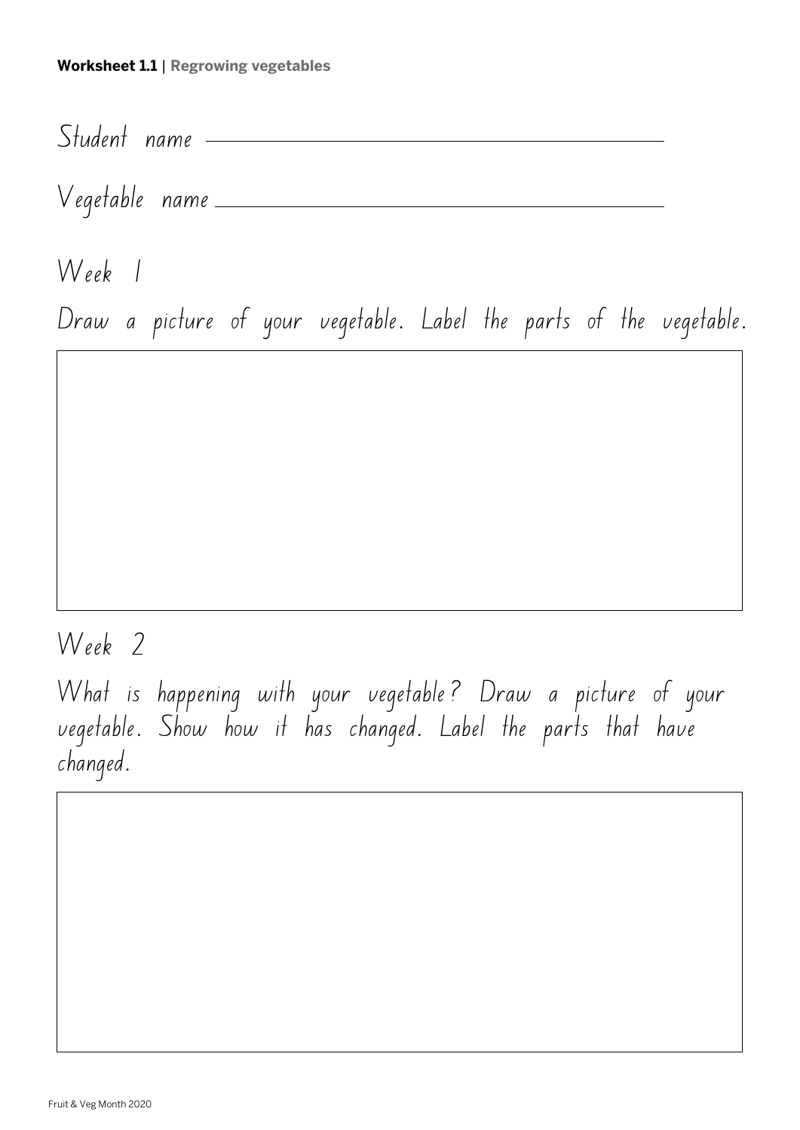# **Worksheet 1.1** | **Regrowing vegetables**

Student name

Vegetable name

Week 1

Draw a picture of your vegetable. Label the parts of the vegetable.

Week 2

What is happening with your vegetable? Draw a picture of your vegetable. Show how it has changed. Label the parts that have changed.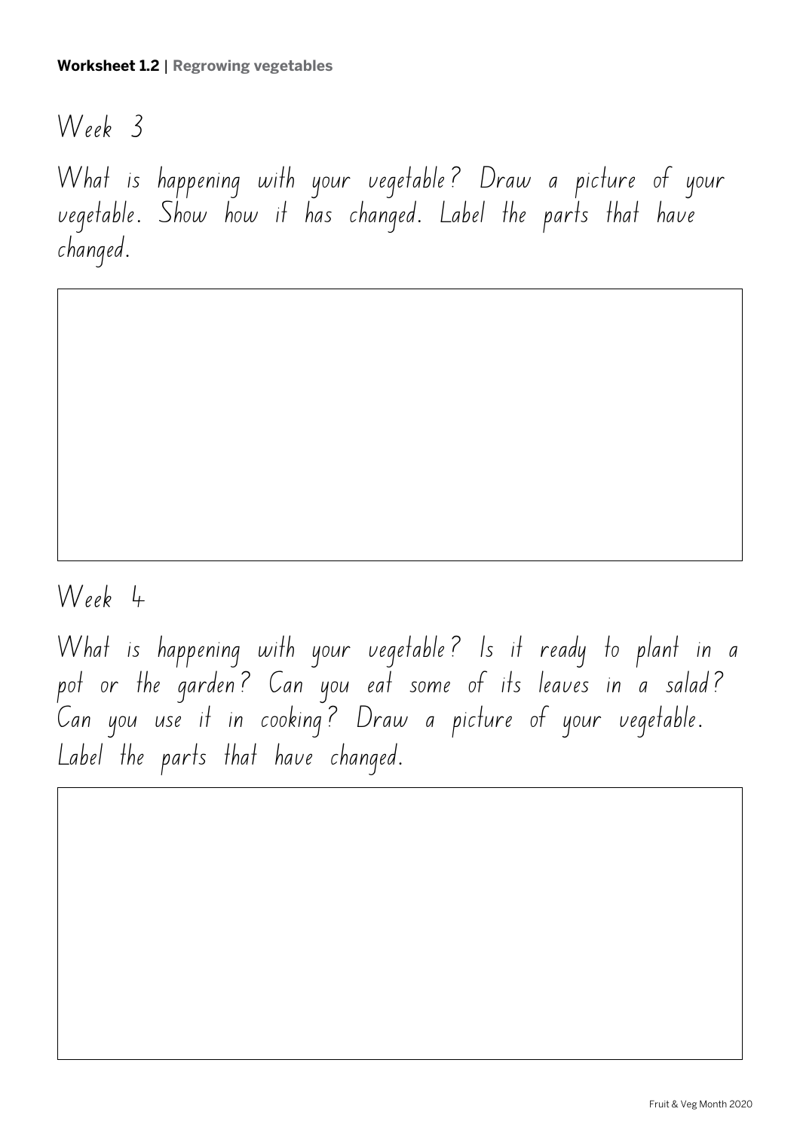Week 3

What is happening with your vegetable? Draw a picture of your vegetable. Show how it has changed. Label the parts that have changed.

# Week 4

What is happening with your vegetable? Is it ready to plant in a pot or the garden? Can you eat some of its leaves in a salad? Can you use it in cooking? Draw a picture of your vegetable. Label the parts that have changed.